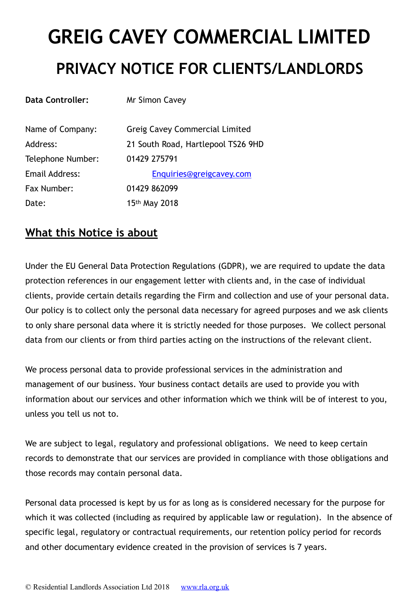# **GREIG CAVEY COMMERCIAL LIMITED PRIVACY NOTICE FOR CLIENTS/LANDLORDS**

| <b>Data Controller:</b> | Mr Simon Cavey                        |
|-------------------------|---------------------------------------|
| Name of Company:        | <b>Greig Cavey Commercial Limited</b> |
| Address:                | 21 South Road, Hartlepool TS26 9HD    |
| Telephone Number:       | 01429 275791                          |
| Email Address:          | Enquiries@greigcavey.com              |
| Fax Number:             | 01429 862099                          |
| Date:                   | 15 <sup>th</sup> May 2018             |

### **What this Notice is about**

Under the EU General Data Protection Regulations (GDPR), we are required to update the data protection references in our engagement letter with clients and, in the case of individual clients, provide certain details regarding the Firm and collection and use of your personal data. Our policy is to collect only the personal data necessary for agreed purposes and we ask clients to only share personal data where it is strictly needed for those purposes. We collect personal data from our clients or from third parties acting on the instructions of the relevant client.

We process personal data to provide professional services in the administration and management of our business. Your business contact details are used to provide you with information about our services and other information which we think will be of interest to you, unless you tell us not to.

We are subject to legal, regulatory and professional obligations. We need to keep certain records to demonstrate that our services are provided in compliance with those obligations and those records may contain personal data.

Personal data processed is kept by us for as long as is considered necessary for the purpose for which it was collected (including as required by applicable law or regulation). In the absence of specific legal, regulatory or contractual requirements, our retention policy period for records and other documentary evidence created in the provision of services is 7 years.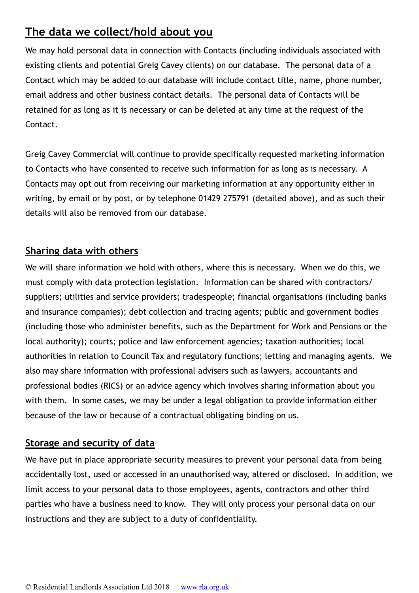## **The data we collect/hold about you**

We may hold personal data in connection with Contacts (including individuals associated with existing clients and potential Greig Cavey clients) on our database. The personal data of a Contact which may be added to our database will include contact title, name, phone number, email address and other business contact details. The personal data of Contacts will be retained for as long as it is necessary or can be deleted at any time at the request of the Contact.

Greig Cavey Commercial will continue to provide specifically requested marketing information to Contacts who have consented to receive such information for as long as is necessary. A Contacts may opt out from receiving our marketing information at any opportunity either in writing, by email or by post, or by telephone 01429 275791 (detailed above), and as such their details will also be removed from our database.

#### **Sharing data with others**

We will share information we hold with others, where this is necessary. When we do this, we must comply with data protection legislation. Information can be shared with contractors/ suppliers; utilities and service providers; tradespeople; financial organisations (including banks and insurance companies); debt collection and tracing agents; public and government bodies (including those who administer benefits, such as the Department for Work and Pensions or the local authority); courts; police and law enforcement agencies; taxation authorities; local authorities in relation to Council Tax and regulatory functions; letting and managing agents. We also may share information with professional advisers such as lawyers, accountants and professional bodies (RICS) or an advice agency which involves sharing information about you with them. In some cases, we may be under a legal obligation to provide information either because of the law or because of a contractual obligating binding on us.

#### **Storage and security of data**

We have put in place appropriate security measures to prevent your personal data from being accidentally lost, used or accessed in an unauthorised way, altered or disclosed. In addition, we limit access to your personal data to those employees, agents, contractors and other third parties who have a business need to know. They will only process your personal data on our instructions and they are subject to a duty of confidentiality.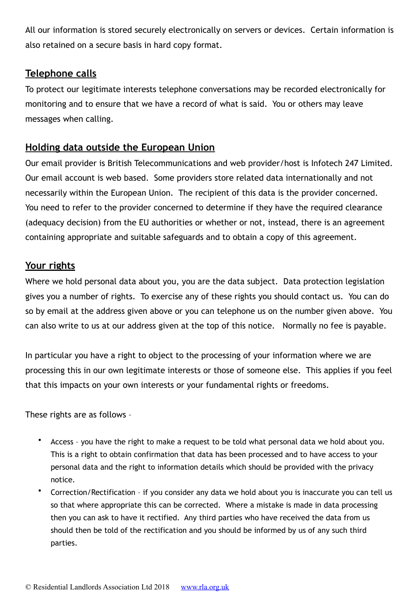All our information is stored securely electronically on servers or devices. Certain information is also retained on a secure basis in hard copy format.

#### **Telephone calls**

To protect our legitimate interests telephone conversations may be recorded electronically for monitoring and to ensure that we have a record of what is said. You or others may leave messages when calling.

#### **Holding data outside the European Union**

Our email provider is British Telecommunications and web provider/host is Infotech 247 Limited. Our email account is web based. Some providers store related data internationally and not necessarily within the European Union. The recipient of this data is the provider concerned. You need to refer to the provider concerned to determine if they have the required clearance (adequacy decision) from the EU authorities or whether or not, instead, there is an agreement containing appropriate and suitable safeguards and to obtain a copy of this agreement.

#### **Your rights**

Where we hold personal data about you, you are the data subject. Data protection legislation gives you a number of rights. To exercise any of these rights you should contact us. You can do so by email at the address given above or you can telephone us on the number given above. You can also write to us at our address given at the top of this notice. Normally no fee is payable.

In particular you have a right to object to the processing of your information where we are processing this in our own legitimate interests or those of someone else. This applies if you feel that this impacts on your own interests or your fundamental rights or freedoms.

These rights are as follows –

- Access you have the right to make a request to be told what personal data we hold about you. This is a right to obtain confirmation that data has been processed and to have access to your personal data and the right to information details which should be provided with the privacy notice.
- Correction/Rectification if you consider any data we hold about you is inaccurate you can tell us so that where appropriate this can be corrected. Where a mistake is made in data processing then you can ask to have it rectified. Any third parties who have received the data from us should then be told of the rectification and you should be informed by us of any such third parties.